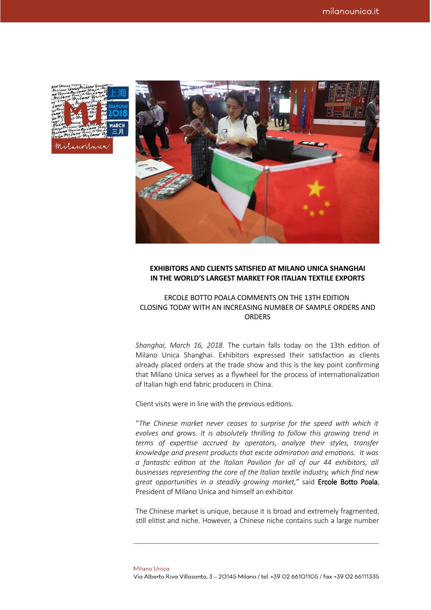| Milano Unigmiani umuniz<br>no Unicakritano those my             |                |                  |                      |
|-----------------------------------------------------------------|----------------|------------------|----------------------|
|                                                                 |                |                  |                      |
| milim him in unitano n<br>in this miland guilar                 |                | Milanothica Mo   |                      |
|                                                                 |                | <i>Wam</i>       | <b>MAN SHANGHAI</b>  |
| canol<br>jasmil                                                 |                | with             |                      |
| inno it                                                         |                | $\mu$ mi         | <b><i>M</i></b> 2018 |
| jami                                                            | $\mathcal{A}M$ | $m$ <sup>1</sup> |                      |
|                                                                 |                |                  |                      |
| Milan<br>Musta Partid Chicagonal W MARCH                        | mnia h         |                  |                      |
| Milano Unicihilano Und                                          |                |                  |                      |
|                                                                 |                |                  |                      |
| $\mathbb{W}$ with $\mathbb{W}$ in the $\mathbb{W}$ $\mathbb{H}$ |                |                  |                      |
|                                                                 |                |                  |                      |
| Milanolinica                                                    |                |                  |                      |

## **EXHIBITORS AND CLIENTS SATISFIED AT MILANO UNICA SHANGHAI IN THE WORLD'S LARGEST MARKET FOR ITALIAN TEXTILE EXPORTS**

## ERCOLE BOTTO POALA COMMENTS ON THE 13TH EDITION CLOSING TODAY WITH AN INCREASING NUMBER OF SAMPLE ORDERS AND **ORDERS**

*Shanghai, March 16, 2018.* The curtain falls today on the 13th edition of Milano Unica Shanghai. Exhibitors expressed their satisfaction as clients already placed orders at the trade show and this is the key point confirming that Milano Unica serves as a flywheel for the process of internationalization of Italian high end fabric producers in China.

Client visits were in line with the previous editions.

"*The Chinese market never ceases to surprise for the speed with which it evolves and grows. It is absolutely thrilling to follow this growing trend in terms of expertise accrued by operators, analyze their styles, transfer knowledge and present products that excite admiration and emotions. It was a fantastic edition at the Italian Pavilion for all of our 44 exhibitors, all businesses representing the core of the Italian textile industry, which find new great opportunities in a steadily growing market,"* said Ercole Botto Poala, President of Milano Unica and himself an exhibitor.

The Chinese market is unique, because it is broad and extremely fragmented, still elitist and niche. However, a Chinese niche contains such a large number

**Milano Unica** Via Alberto Riva Villasanta, 3 - 20145 Milano / tel. +39 02 66101105 / fax +39 02 66111335